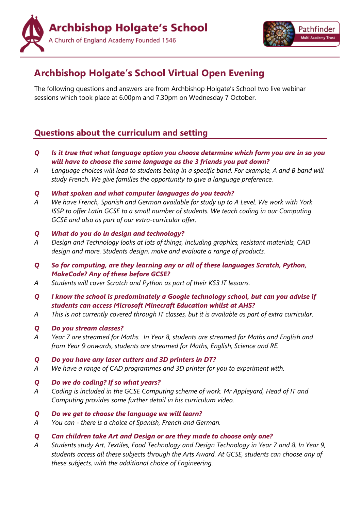



# **Archbishop Holgate's School Virtual Open Evening**

The following questions and answers are from Archbishop Holgate's School two live webinar sessions which took place at 6.00pm and 7.30pm on Wednesday 7 October.

# **Questions about the curriculum and setting**

- *Q Is it true that what language option you choose determine which form you are in so you will have to choose the same language as the 3 friends you put down?*
- *A Language choices will lead to students being in a specific band. For example, A and B band will study French. We give families the opportunity to give a language preference.*
- *Q What spoken and what computer languages do you teach?*
- *A We have French, Spanish and German available for study up to A Level. We work with York ISSP to offer Latin GCSE to a small number of students. We teach coding in our Computing GCSE and also as part of our extra-curricular offer.*

## *Q What do you do in design and technology?*

- *A Design and Technology looks at lots of things, including graphics, resistant materials, CAD design and more. Students design, make and evaluate a range of products.*
- *Q So for computing, are they learning any or all of these languages Scratch, Python, MakeCode? Any of these before GCSE?*
- *A Students will cover Scratch and Python as part of their KS3 IT lessons.*
- *Q I know the school is predominately a Google technology school, but can you advise if students can access Microsoft Minecraft Education whilst at AHS?*
- *A This is not currently covered through IT classes, but it is available as part of extra curricular.*

## *Q Do you stream classes?*

*A Year 7 are streamed for Maths. In Year 8, students are streamed for Maths and English and from Year 9 onwards, students are streamed for Maths, English, Science and RE.*

## *Q Do you have any laser cutters and 3D printers in DT?*

*A We have a range of CAD programmes and 3D printer for you to experiment with.*

## *Q Do we do coding? If so what years?*

*A Coding is included in the GCSE Computing scheme of work. Mr Appleyard, Head of IT and Computing provides some further detail in his curriculum video.*

## *Q Do we get to choose the language we will learn?*

- *A You can - there is a choice of Spanish, French and German.*
- *Q Can children take Art and Design or are they made to choose only one?*
- *A Students study Art, Textiles, Food Technology and Design Technology in Year 7 and 8. In Year 9, students access all these subjects through the Arts Award. At GCSE, students can choose any of these subjects, with the additional choice of Engineering.*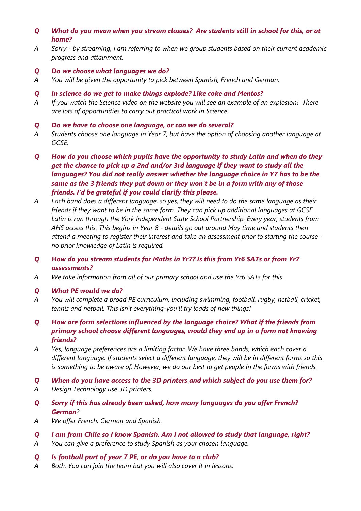- *Q What do you mean when you stream classes? Are students still in school for this, or at home?*
- *A Sorry - by streaming, I am referring to when we group students based on their current academic progress and attainment.*
- *Q Do we choose what languages we do?*
- *A You will be given the opportunity to pick between Spanish, French and German.*
- *Q In science do we get to make things explode? Like coke and Mentos?*
- *A If you watch the Science video on the website you will see an example of an explosion! There are lots of opportunities to carry out practical work in Science.*
- *Q Do we have to choose one language, or can we do several?*
- *A Students choose one language in Year 7, but have the option of choosing another language at GCSE.*
- *Q How do you choose which pupils have the opportunity to study Latin and when do they get the chance to pick up a 2nd and/or 3rd language if they want to study all the languages? You did not really answer whether the language choice in Y7 has to be the same as the 3 friends they put down or they won't be in a form with any of those friends. I'd be grateful if you could clarify this please.*
- *A Each band does a different language, so yes, they will need to do the same language as their friends if they want to be in the same form. They can pick up additional languages at GCSE. Latin is run through the York Independent State School Partnership. Every year, students from AHS access this. This begins in Year 8 - details go out around May time and students then attend a meeting to register their interest and take an assessment prior to starting the course no prior knowledge of Latin is required.*
- *Q How do you stream students for Maths in Yr7? Is this from Yr6 SATs or from Yr7 assessments?*
- *A We take information from all of our primary school and use the Yr6 SATs for this.*
- *Q What PE would we do?*
- *A You will complete a broad PE curriculum, including swimming, football, rugby, netball, cricket, tennis and netball. This isn't everything-you'll try loads of new things!*
- *Q How are form selections influenced by the language choice? What if the friends from primary school choose different languages, would they end up in a form not knowing friends?*
- *A Yes, language preferences are a limiting factor. We have three bands, which each cover a different language. If students select a different language, they will be in different forms so this is something to be aware of. However, we do our best to get people in the forms with friends.*
- *Q When do you have access to the 3D printers and which subject do you use them for?*
- *A Design Technology use 3D printers.*
- *Q Sorry if this has already been asked, how many languages do you offer French? German?*
- *A We offer French, German and Spanish.*
- *Q I am from Chile so I know Spanish. Am I not allowed to study that language, right?*
- *A You can give a preference to study Spanish as your chosen language.*
- *Q Is football part of year 7 PE, or do you have to a club?*
- *A Both. You can join the team but you will also cover it in lessons.*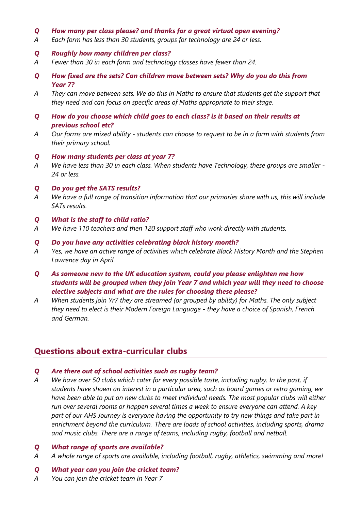#### *Q How many per class please? and thanks for a great virtual open evening?*

*A Each form has less than 30 students, groups for technology are 24 or less.*

#### *Q Roughly how many children per class?*

- *A Fewer than 30 in each form and technology classes have fewer than 24.*
- *Q How fixed are the sets? Can children move between sets? Why do you do this from Year 7?*
- *A They can move between sets. We do this in Maths to ensure that students get the support that they need and can focus on specific areas of Maths appropriate to their stage.*
- *Q How do you choose which child goes to each class? is it based on their results at previous school etc?*
- *A Our forms are mixed ability - students can choose to request to be in a form with students from their primary school.*

#### *Q How many students per class at year 7?*

*A We have less than 30 in each class. When students have Technology, these groups are smaller - 24 or less.*

#### *Q Do you get the SATS results?*

*A We have a full range of transition information that our primaries share with us, this will include SATs results.*

#### *Q What is the staff to child ratio?*

*A We have 110 teachers and then 120 support staff who work directly with students.*

### *Q Do you have any activities celebrating black history month?*

- *A Yes, we have an active range of activities which celebrate Black History Month and the Stephen Lawrence day in April.*
- *Q As someone new to the UK education system, could you please enlighten me how students will be grouped when they join Year 7 and which year will they need to choose elective subjects and what are the rules for choosing these please?*
- *A When students join Yr7 they are streamed (or grouped by ability) for Maths. The only subject they need to elect is their Modern Foreign Language - they have a choice of Spanish, French and German.*

## **Questions about extra-curricular clubs**

#### *Q Are there out of school activities such as rugby team?*

*A We have over 50 clubs which cater for every possible taste, including rugby. In the past, if students have shown an interest in a particular area, such as board games or retro gaming, we have been able to put on new clubs to meet individual needs. The most popular clubs will either run over several rooms or happen several times a week to ensure everyone can attend. A key part of our AHS Journey is everyone having the opportunity to try new things and take part in enrichment beyond the curriculum. There are loads of school activities, including sports, drama and music clubs. There are a range of teams, including rugby, football and netball.*

#### *Q What range of sports are available?*

*A A whole range of sports are available, including football, rugby, athletics, swimming and more!*

#### *Q What year can you join the cricket team?*

*A You can join the cricket team in Year 7*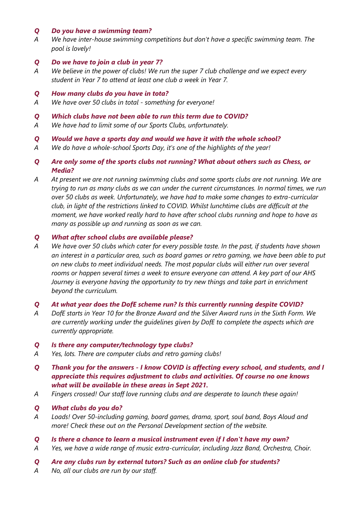#### *Q Do you have a swimming team?*

*A We have inter-house swimming competitions but don't have a specific swimming team. The pool is lovely!*

#### *Q Do we have to join a club in year 7?*

*A We believe in the power of clubs! We run the super 7 club challenge and we expect every student in Year 7 to attend at least one club a week in Year 7.*

#### *Q How many clubs do you have in tota?*

*A We have over 50 clubs in total - something for everyone!*

#### *Q Which clubs have not been able to run this term due to COVID?*

*A We have had to limit some of our Sports Clubs, unfortunately.*

### *Q Would we have a sports day and would we have it with the whole school?*

*A We do have a whole-school Sports Day, it's one of the highlights of the year!*

## *Q Are only some of the sports clubs not running? What about others such as Chess, or Media?*

*A At present we are not running swimming clubs and some sports clubs are not running. We are trying to run as many clubs as we can under the current circumstances. In normal times, we run over 50 clubs as week. Unfortunately, we have had to make some changes to extra-curricular club, in light of the restrictions linked to COVID. Whilst lunchtime clubs are difficult at the moment, we have worked really hard to have after school clubs running and hope to have as many as possible up and running as soon as we can.*

#### *Q What after school clubs are available please?*

*A We have over 50 clubs which cater for every possible taste. In the past, if students have shown an interest in a particular area, such as board games or retro gaming, we have been able to put on new clubs to meet individual needs. The most popular clubs will either run over several rooms or happen several times a week to ensure everyone can attend. A key part of our AHS Journey is everyone having the opportunity to try new things and take part in enrichment beyond the curriculum.*

#### *Q At what year does the DofE scheme run? Is this currently running despite COVID?*

*A DofE starts in Year 10 for the Bronze Award and the Silver Award runs in the Sixth Form. We are currently working under the guidelines given by DofE to complete the aspects which are currently appropriate.*

#### *Q Is there any computer/technology type clubs?*

- *A Yes, lots. There are computer clubs and retro gaming clubs!*
- *Q Thank you for the answers - I know COVID is affecting every school, and students, and I appreciate this requires adjustment to clubs and activities. Of course no one knows what will be available in these areas in Sept 2021.*
- *A Fingers crossed! Our staff love running clubs and are desperate to launch these again!*

#### *Q What clubs do you do?*

- *A Loads! Over 50-including gaming, board games, drama, sport, soul band, Boys Aloud and more! Check these out on the Personal Development section of the website.*
- *Q Is there a chance to learn a musical instrument even if I don't have my own?*
- *A Yes, we have a wide range of music extra-curricular, including Jazz Band, Orchestra, Choir.*
- *Q Are any clubs run by external tutors? Such as an online club for students?*
- *A No, all our clubs are run by our staff.*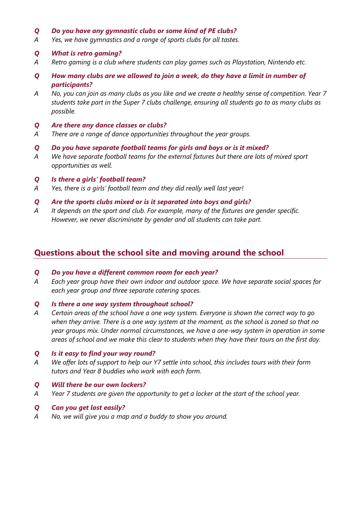#### *Q Do you have any gymnastic clubs or some kind of PE clubs?*

*A Yes, we have gymnastics and a range of sports clubs for all tastes.*

#### *Q What is retro gaming?*

- *A Retro gaming is a club where students can play games such as Playstation, Nintendo etc.*
- *Q How many clubs are we allowed to join a week, do they have a limit in number of participants?*
- *A No, you can join as many clubs as you like and we create a healthy sense of competition. Year 7 students take part in the Super 7 clubs challenge, ensuring all students go to as many clubs as possible.*
- *Q Are there any dance classes or clubs?*
- *A There are a range of dance opportunities throughout the year groups.*
- *Q Do you have separate football teams for girls and boys or is it mixed?*
- *A We have separate football teams for the external fixtures but there are lots of mixed sport opportunities as well.*
- *Q Is there a girls' football team?*
- *A Yes, there is a girls' football team and they did really well last year!*
- *Q Are the sports clubs mixed or is it separated into boys and girls?*
- *A It depends on the sport and club. For example, many of the fixtures are gender specific. However, we never discriminate by gender and all students can take part.*

## **Questions about the school site and moving around the school**

#### *Q Do you have a different common room for each year?*

*A Each year group have their own indoor and outdoor space. We have separate social spaces for each year group and three separate catering spaces.*

#### *Q Is there a one way system throughout school?*

*A Certain areas of the school have a one way system. Everyone is shown the correct way to go when they arrive. There is a one way system at the moment, as the school is zoned so that no year groups mix. Under normal circumstances, we have a one-way system in operation in some areas of school and we make this clear to students when they have their tours on the first day.*

#### *Q Is it easy to find your way round?*

*A We offer lots of support to help our Y7 settle into school, this includes tours with their form tutors and Year 8 buddies who work with each form.*

#### *Q Will there be our own lockers?*

*A Year 7 students are given the opportunity to get a locker at the start of the school year.*

#### *Q Can you get lost easily?*

*A No, we will give you a map and a buddy to show you around.*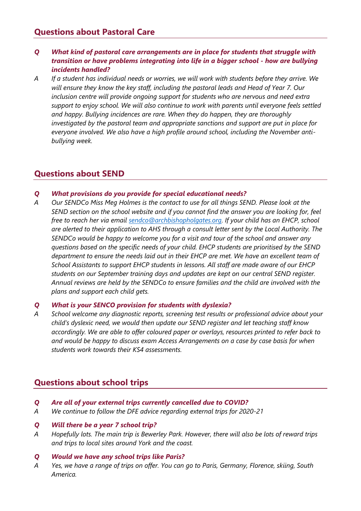- *Q What kind of pastoral care arrangements are in place for students that struggle with transition or have problems integrating into life in a bigger school - how are bullying incidents handled?*
- *A If a student has individual needs or worries, we will work with students before they arrive. We will ensure they know the key staff, including the pastoral leads and Head of Year 7. Our inclusion centre will provide ongoing support for students who are nervous and need extra support to enjoy school. We will also continue to work with parents until everyone feels settled and happy. Bullying incidences are rare. When they do happen, they are thoroughly investigated by the pastoral team and appropriate sanctions and support are put in place for everyone involved. We also have a high profile around school, including the November antibullying week.*

# **Questions about SEND**

- *Q What provisions do you provide for special educational needs?*
- *A Our SENDCo Miss Meg Holmes is the contact to use for all things SEND. Please look at the SEND section on the school website and if you cannot find the answer you are looking for, feel free to reach her via email [sendco@archbishopholgates.org.](mailto:sendco@archbishopholgates.org) If your child has an EHCP, school are alerted to their application to AHS through a consult letter sent by the Local Authority. The SENDCo would be happy to welcome you for a visit and tour of the school and answer any questions based on the specific needs of your child. EHCP students are prioritised by the SEND department to ensure the needs laid out in their EHCP are met. We have an excellent team of School Assistants to support EHCP students in lessons. All staff are made aware of our EHCP students on our September training days and updates are kept on our central SEND register. Annual reviews are held by the SENDCo to ensure families and the child are involved with the plans and support each child gets.*

## *Q What is your SENCO provision for students with dyslexia?*

*A School welcome any diagnostic reports, screening test results or professional advice about your child's dyslexic need, we would then update our SEND register and let teaching staff know*  accordingly. We are able to offer coloured paper or overlays, resources printed to refer back to *and would be happy to discuss exam Access Arrangements on a case by case basis for when students work towards their KS4 assessments.*

# **Questions about school trips**

- *Q Are all of your external trips currently cancelled due to COVID?*
- *A We continue to follow the DFE advice regarding external trips for 2020-21*
- *Q Will there be a year 7 school trip?*
- *A Hopefully lots. The main trip is Bewerley Park. However, there will also be lots of reward trips and trips to local sites around York and the coast.*

## *Q Would we have any school trips like Paris?*

*A Yes, we have a range of trips on offer. You can go to Paris, Germany, Florence, skiing, South America.*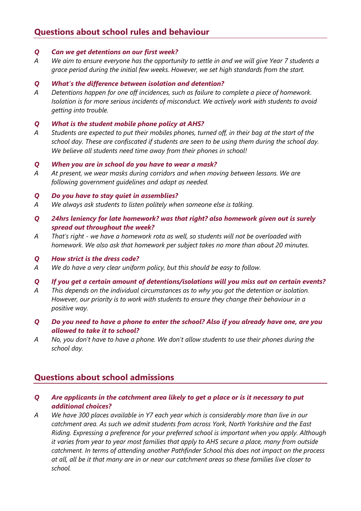# **Questions about school rules and behaviour**

#### *Q Can we get detentions on our first week?*

*A We aim to ensure everyone has the opportunity to settle in and we will give Year 7 students a grace period during the initial few weeks. However, we set high standards from the start.*

## *Q What's the difference between isolation and detention?*

*A Detentions happen for one off incidences, such as failure to complete a piece of homework. Isolation is for more serious incidents of misconduct. We actively work with students to avoid getting into trouble.*

### *Q What is the student mobile phone policy at AHS?*

*A Students are expected to put their mobiles phones, turned off, in their bag at the start of the school day. These are confiscated if students are seen to be using them during the school day. We believe all students need time away from their phones in school!*

#### *Q When you are in school do you have to wear a mask?*

*A At present, we wear masks during corridors and when moving between lessons. We are following government guidelines and adapt as needed.*

## *Q Do you have to stay quiet in assemblies?*

- *A We always ask students to listen politely when someone else is talking.*
- *Q 24hrs leniency for late homework? was that right? also homework given out is surely spread out throughout the week?*
- *A That's right - we have a homework rota as well, so students will not be overloaded with homework. We also ask that homework per subject takes no more than about 20 minutes.*

### *Q How strict is the dress code?*

*A We do have a very clear uniform policy, but this should be easy to follow.*

## *Q If you get a certain amount of detentions/isolations will you miss out on certain events?*

- *A This depends on the individual circumstances as to why you got the detention or isolation. However, our priority is to work with students to ensure they change their behaviour in a positive way.*
- *Q Do you need to have a phone to enter the school? Also if you already have one, are you allowed to take it to school?*
- *A No, you don't have to have a phone. We don't allow students to use their phones during the school day.*

## **Questions about school admissions**

## *Q Are applicants in the catchment area likely to get a place or is it necessary to put additional choices?*

*A We have 300 places available in Y7 each year which is considerably more than live in our catchment area. As such we admit students from across York, North Yorkshire and the East Riding. Expressing a preference for your preferred school is important when you apply. Although it varies from year to year most families that apply to AHS secure a place, many from outside catchment. In terms of attending another Pathfinder School this does not impact on the process at all, all be it that many are in or near our catchment areas so these families live closer to school.*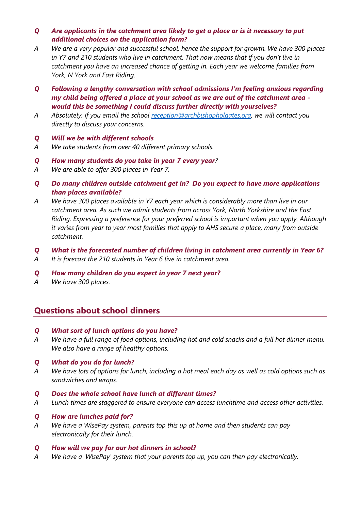## *Q Are applicants in the catchment area likely to get a place or is it necessary to put additional choices on the application form?*

- *A We are a very popular and successful school, hence the support for growth. We have 300 places in Y7 and 210 students who live in catchment. That now means that if you don't live in catchment you have an increased chance of getting in. Each year we welcome families from York, N York and East Riding.*
- *Q Following a lengthy conversation with school admissions I'm feeling anxious regarding my child being offered a place at your school as we are out of the catchment area would this be something I could discuss further directly with yourselves?*
- *A Absolutely. If you email the school [reception@archbishopholgates.org,](mailto:reception@archbishopholgates.org) we will contact you directly to discuss your concerns.*
- *Q Will we be with different schools*
- *A We take students from over 40 different primary schools.*
- *Q How many students do you take in year 7 every year?*
- *A We are able to offer 300 places in Year 7.*
- *Q Do many children outside catchment get in? Do you expect to have more applications than places available?*
- *A We have 300 places available in Y7 each year which is considerably more than live in our catchment area. As such we admit students from across York, North Yorkshire and the East Riding. Expressing a preference for your preferred school is important when you apply. Although it varies from year to year most families that apply to AHS secure a place, many from outside catchment.*
- *Q What is the forecasted number of children living in catchment area currently in Year 6?*
- *A It is forecast the 210 students in Year 6 live in catchment area.*
- *Q How many children do you expect in year 7 next year?*
- *A We have 300 places.*

## **Questions about school dinners**

#### *Q What sort of lunch options do you have?*

*A We have a full range of food options, including hot and cold snacks and a full hot dinner menu. We also have a range of healthy options.*

## *Q What do you do for lunch?*

- *A We have lots of options for lunch, including a hot meal each day as well as cold options such as sandwiches and wraps.*
- *Q Does the whole school have lunch at different times?*
- *A Lunch times are staggered to ensure everyone can access lunchtime and access other activities.*

#### *Q How are lunches paid for?*

*A We have a WisePay system, parents top this up at home and then students can pay electronically for their lunch.*

#### *Q How will we pay for our hot dinners in school?*

*A We have a 'WisePay' system that your parents top up, you can then pay electronically.*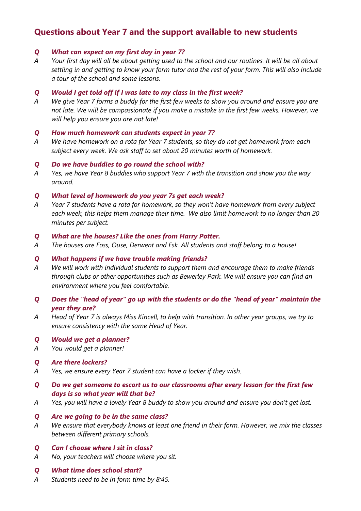# **Questions about Year 7 and the support available to new students**

#### *Q What can expect on my first day in year 7?*

*A Your first day will all be about getting used to the school and our routines. It will be all about settling in and getting to know your form tutor and the rest of your form. This will also include a tour of the school and some lessons.*

#### *Q Would I get told off if I was late to my class in the first week?*

*A We give Year 7 forms a buddy for the first few weeks to show you around and ensure you are not late. We will be compassionate if you make a mistake in the first few weeks. However, we will help you ensure you are not late!*

#### *Q How much homework can students expect in year 7?*

*A We have homework on a rota for Year 7 students, so they do not get homework from each subject every week. We ask staff to set about 20 minutes worth of homework.*

## *Q Do we have buddies to go round the school with?*

*A Yes, we have Year 8 buddies who support Year 7 with the transition and show you the way around.*

#### *Q What level of homework do you year 7s get each week?*

*A Year 7 students have a rota for homework, so they won't have homework from every subject each week, this helps them manage their time. We also limit homework to no longer than 20 minutes per subject.*

#### *Q What are the houses? Like the ones from Harry Potter.*

*A The houses are Foss, Ouse, Derwent and Esk. All students and staff belong to a house!*

#### *Q What happens if we have trouble making friends?*

*A We will work with individual students to support them and encourage them to make friends through clubs or other opportunities such as Bewerley Park. We will ensure you can find an environment where you feel comfortable.*

### *Q Does the "head of year" go up with the students or do the "head of year" maintain the year they are?*

*A Head of Year 7 is always Miss Kincell, to help with transition. In other year groups, we try to ensure consistency with the same Head of Year.*

#### *Q Would we get a planner?*

*A You would get a planner!*

#### *Q Are there lockers?*

- *A Yes, we ensure every Year 7 student can have a locker if they wish.*
- *Q Do we get someone to escort us to our classrooms after every lesson for the first few days is so what year will that be?*
- *A Yes, you will have a lovely Year 8 buddy to show you around and ensure you don't get lost.*

#### *Q Are we going to be in the same class?*

*A We ensure that everybody knows at least one friend in their form. However, we mix the classes between different primary schools.*

#### *Q Can I choose where I sit in class?*

*A No, your teachers will choose where you sit.*

#### *Q What time does school start?*

*A Students need to be in form time by 8:45.*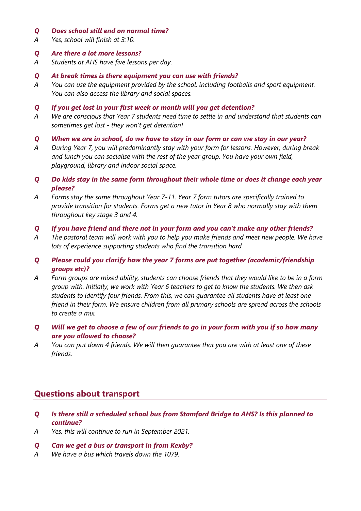#### *Q Does school still end on normal time?*

*A Yes, school will finish at 3:10.*

#### *Q Are there a lot more lessons?*

*A Students at AHS have five lessons per day.*

#### *Q At break times is there equipment you can use with friends?*

*A You can use the equipment provided by the school, including footballs and sport equipment. You can also access the library and social spaces.*

#### *Q If you get lost in your first week or month will you get detention?*

*A We are conscious that Year 7 students need time to settle in and understand that students can sometimes get lost - they won't get detention!*

#### *Q When we are in school, do we have to stay in our form or can we stay in our year?*

- *A During Year 7, you will predominantly stay with your form for lessons. However, during break and lunch you can socialise with the rest of the year group. You have your own field, playground, library and indoor social space.*
- *Q Do kids stay in the same form throughout their whole time or does it change each year please?*
- *A Forms stay the same throughout Year 7-11. Year 7 form tutors are specifically trained to provide transition for students. Forms get a new tutor in Year 8 who normally stay with them throughout key stage 3 and 4.*

#### *Q If you have friend and there not in your form and you can't make any other friends?*

- *A The pastoral team will work with you to help you make friends and meet new people. We have lots of experience supporting students who find the transition hard.*
- *Q Please could you clarify how the year 7 forms are put together (academic/friendship groups etc)?*
- *A Form groups are mixed ability, students can choose friends that they would like to be in a form group with. Initially, we work with Year 6 teachers to get to know the students. We then ask students to identify four friends. From this, we can guarantee all students have at least one friend in their form. We ensure children from all primary schools are spread across the schools to create a mix.*
- *Q Will we get to choose a few of our friends to go in your form with you if so how many are you allowed to choose?*
- *A You can put down 4 friends. We will then guarantee that you are with at least one of these friends.*

# **Questions about transport**

- *Q Is there still a scheduled school bus from Stamford Bridge to AHS? Is this planned to continue?*
- *A Yes, this will continue to run in September 2021.*
- *Q Can we get a bus or transport in from Kexby?*
- *A We have a bus which travels down the 1079.*